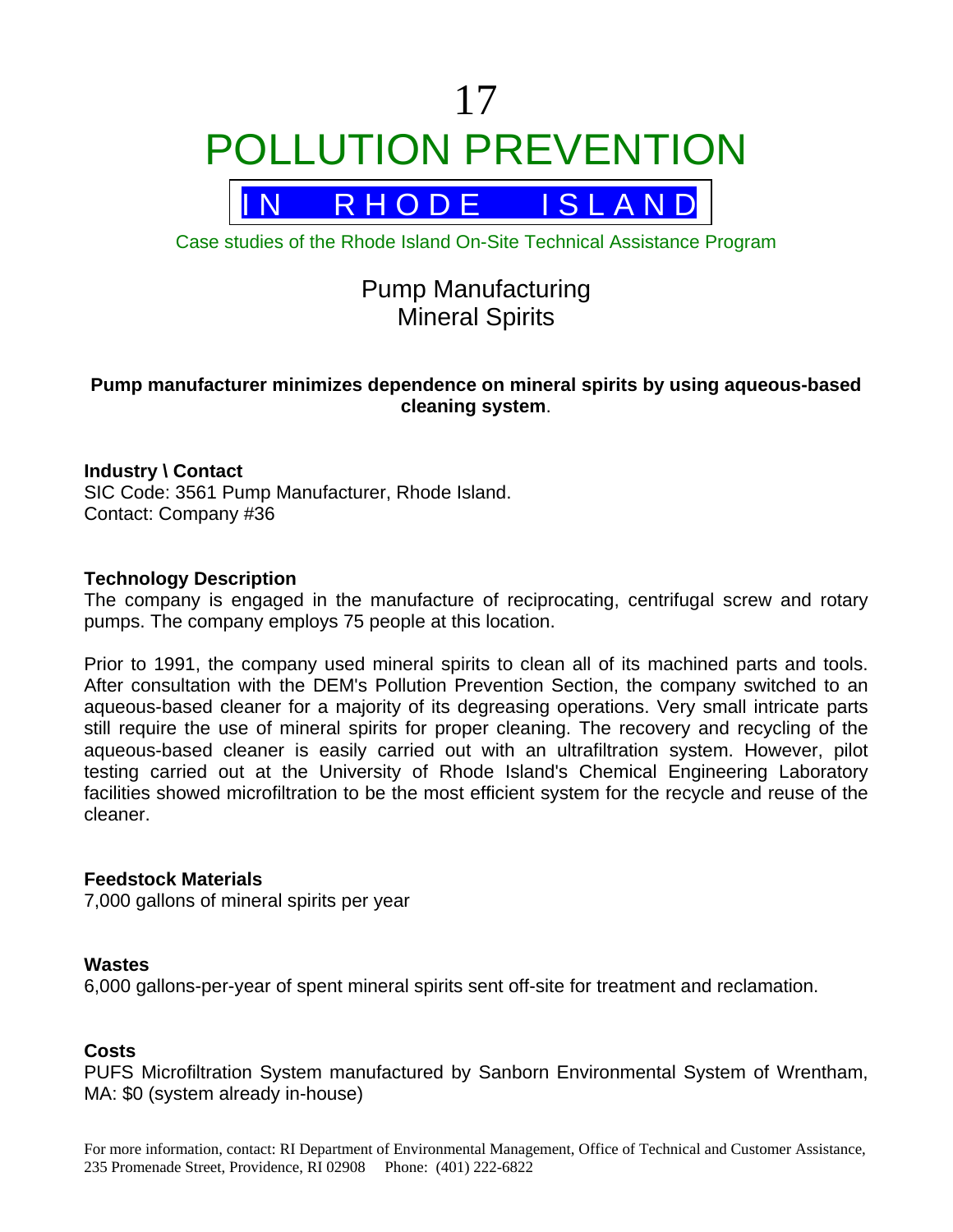# 17 POLLUTION PREVENTION



Case studies of the Rhode Island On-Site Technical Assistance Program

# Pump Manufacturing Mineral Spirits

# **Pump manufacturer minimizes dependence on mineral spirits by using aqueous-based cleaning system**.

# **Industry \ Contact**

SIC Code: 3561 Pump Manufacturer, Rhode Island. Contact: Company #36

# **Technology Description**

The company is engaged in the manufacture of reciprocating, centrifugal screw and rotary pumps. The company employs 75 people at this location.

Prior to 1991, the company used mineral spirits to clean all of its machined parts and tools. After consultation with the DEM's Pollution Prevention Section, the company switched to an aqueous-based cleaner for a majority of its degreasing operations. Very small intricate parts still require the use of mineral spirits for proper cleaning. The recovery and recycling of the aqueous-based cleaner is easily carried out with an ultrafiltration system. However, pilot testing carried out at the University of Rhode Island's Chemical Engineering Laboratory facilities showed microfiltration to be the most efficient system for the recycle and reuse of the cleaner.

# **Feedstock Materials**

7,000 gallons of mineral spirits per year

#### **Wastes**

6,000 gallons-per-year of spent mineral spirits sent off-site for treatment and reclamation.

# **Costs**

PUFS Microfiltration System manufactured by Sanborn Environmental System of Wrentham, MA: \$0 (system already in-house)